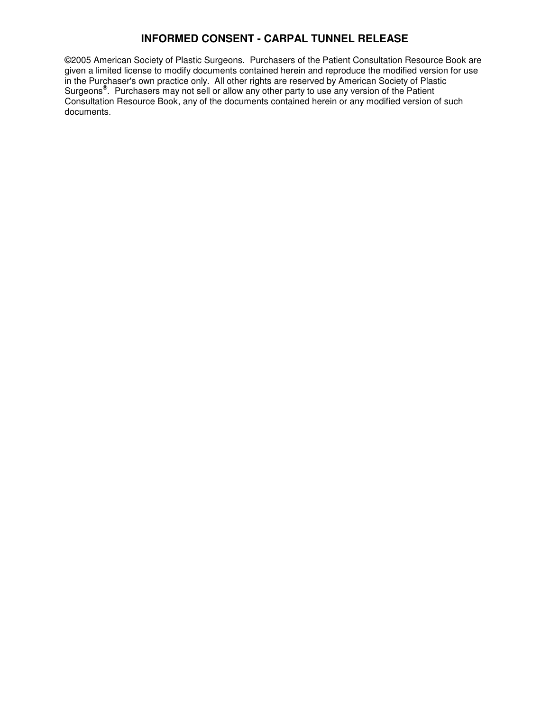©2005 American Society of Plastic Surgeons. Purchasers of the Patient Consultation Resource Book are given a limited license to modify documents contained herein and reproduce the modified version for use in the Purchaser's own practice only. All other rights are reserved by American Society of Plastic Surgeons<sup>®</sup>. Purchasers may not sell or allow any other party to use any version of the Patient Consultation Resource Book, any of the documents contained herein or any modified version of such documents.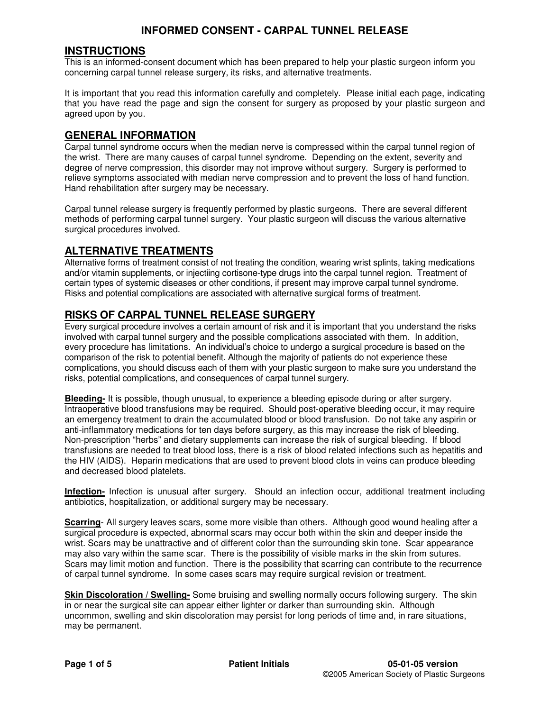### **INSTRUCTIONS**

This is an informed-consent document which has been prepared to help your plastic surgeon inform you concerning carpal tunnel release surgery, its risks, and alternative treatments.

It is important that you read this information carefully and completely. Please initial each page, indicating that you have read the page and sign the consent for surgery as proposed by your plastic surgeon and agreed upon by you.

#### **GENERAL INFORMATION**

Carpal tunnel syndrome occurs when the median nerve is compressed within the carpal tunnel region of the wrist. There are many causes of carpal tunnel syndrome. Depending on the extent, severity and degree of nerve compression, this disorder may not improve without surgery. Surgery is performed to relieve symptoms associated with median nerve compression and to prevent the loss of hand function. Hand rehabilitation after surgery may be necessary.

Carpal tunnel release surgery is frequently performed by plastic surgeons. There are several different methods of performing carpal tunnel surgery. Your plastic surgeon will discuss the various alternative surgical procedures involved.

## **ALTERNATIVE TREATMENTS**

Alternative forms of treatment consist of not treating the condition, wearing wrist splints, taking medications and/or vitamin supplements, or injectiing cortisone-type drugs into the carpal tunnel region. Treatment of certain types of systemic diseases or other conditions, if present may improve carpal tunnel syndrome. Risks and potential complications are associated with alternative surgical forms of treatment.

## **RISKS OF CARPAL TUNNEL RELEASE SURGERY**

Every surgical procedure involves a certain amount of risk and it is important that you understand the risks involved with carpal tunnel surgery and the possible complications associated with them. In addition, every procedure has limitations. An individual's choice to undergo a surgical procedure is based on the comparison of the risk to potential benefit. Although the majority of patients do not experience these complications, you should discuss each of them with your plastic surgeon to make sure you understand the risks, potential complications, and consequences of carpal tunnel surgery.

**Bleeding-** It is possible, though unusual, to experience a bleeding episode during or after surgery. Intraoperative blood transfusions may be required. Should post-operative bleeding occur, it may require an emergency treatment to drain the accumulated blood or blood transfusion. Do not take any aspirin or anti-inflammatory medications for ten days before surgery, as this may increase the risk of bleeding. Non-prescription "herbs" and dietary supplements can increase the risk of surgical bleeding. If blood transfusions are needed to treat blood loss, there is a risk of blood related infections such as hepatitis and the HIV (AIDS). Heparin medications that are used to prevent blood clots in veins can produce bleeding and decreased blood platelets.

**Infection-** Infection is unusual after surgery. Should an infection occur, additional treatment including antibiotics, hospitalization, or additional surgery may be necessary.

**Scarring**- All surgery leaves scars, some more visible than others. Although good wound healing after a surgical procedure is expected, abnormal scars may occur both within the skin and deeper inside the wrist. Scars may be unattractive and of different color than the surrounding skin tone. Scar appearance may also vary within the same scar. There is the possibility of visible marks in the skin from sutures. Scars may limit motion and function. There is the possibility that scarring can contribute to the recurrence of carpal tunnel syndrome. In some cases scars may require surgical revision or treatment.

**Skin Discoloration / Swelling-** Some bruising and swelling normally occurs following surgery. The skin in or near the surgical site can appear either lighter or darker than surrounding skin. Although uncommon, swelling and skin discoloration may persist for long periods of time and, in rare situations, may be permanent.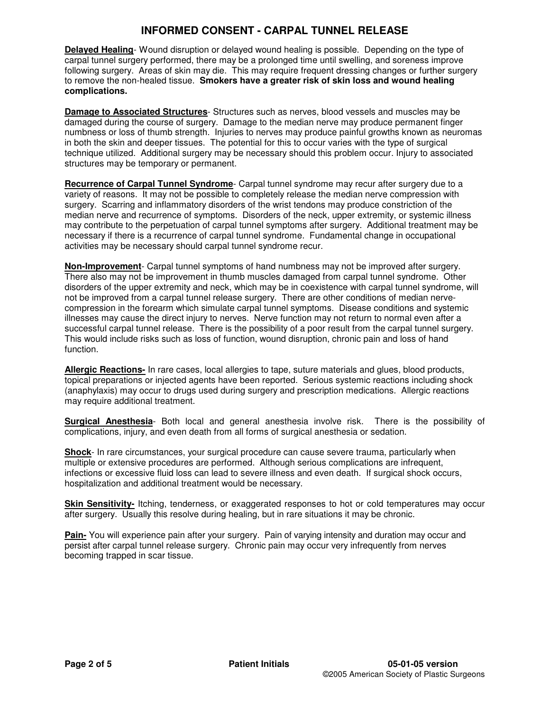**Delayed Healing**- Wound disruption or delayed wound healing is possible. Depending on the type of carpal tunnel surgery performed, there may be a prolonged time until swelling, and soreness improve following surgery.Areas of skin may die. This may require frequent dressing changes or further surgery to remove the non-healed tissue. **Smokers have a greater risk of skin loss and wound healing complications.**

**Damage to Associated Structures**- Structures such as nerves, blood vessels and muscles may be damaged during the course of surgery. Damage to the median nerve may produce permanent finger numbness or loss of thumb strength. Injuries to nerves may produce painful growths known as neuromas in both the skin and deeper tissues. The potential for this to occur varies with the type of surgical technique utilized. Additional surgery may be necessary should this problem occur. Injury to associated structures may be temporary or permanent.

**Recurrence of Carpal Tunnel Syndrome**- Carpal tunnel syndrome may recur after surgery due to a variety of reasons. It may not be possible to completely release the median nerve compression with surgery. Scarring and inflammatory disorders of the wrist tendons may produce constriction of the median nerve and recurrence of symptoms. Disorders of the neck, upper extremity, or systemic illness may contribute to the perpetuation of carpal tunnel symptoms after surgery. Additional treatment may be necessary if there is a recurrence of carpal tunnel syndrome. Fundamental change in occupational activities may be necessary should carpal tunnel syndrome recur.

**Non-Improvement**- Carpal tunnel symptoms of hand numbness may not be improved after surgery. There also may not be improvement in thumb muscles damaged from carpal tunnel syndrome. Other disorders of the upper extremity and neck, which may be in coexistence with carpal tunnel syndrome, will not be improved from a carpal tunnel release surgery. There are other conditions of median nervecompression in the forearm which simulate carpal tunnel symptoms. Disease conditions and systemic illnesses may cause the direct injury to nerves. Nerve function may not return to normal even after a successful carpal tunnel release. There is the possibility of a poor result from the carpal tunnel surgery. This would include risks such as loss of function, wound disruption, chronic pain and loss of hand function.

**Allergic Reactions-** In rare cases, local allergies to tape, suture materials and glues, blood products, topical preparations or injected agents have been reported. Serious systemic reactions including shock (anaphylaxis) may occur to drugs used during surgery and prescription medications. Allergic reactions may require additional treatment.

**Surgical Anesthesia**- Both local and general anesthesia involve risk. There is the possibility of complications, injury, and even death from all forms of surgical anesthesia or sedation.

**Shock**- In rare circumstances, your surgical procedure can cause severe trauma, particularly when multiple or extensive procedures are performed. Although serious complications are infrequent, infections or excessive fluid loss can lead to severe illness and even death. If surgical shock occurs, hospitalization and additional treatment would be necessary.

**Skin Sensitivity-** Itching, tenderness, or exaggerated responses to hot or cold temperatures may occur after surgery. Usually this resolve during healing, but in rare situations it may be chronic.

**Pain-** You will experience pain after your surgery. Pain of varying intensity and duration may occur and persist after carpal tunnel release surgery. Chronic pain may occur very infrequently from nerves becoming trapped in scar tissue.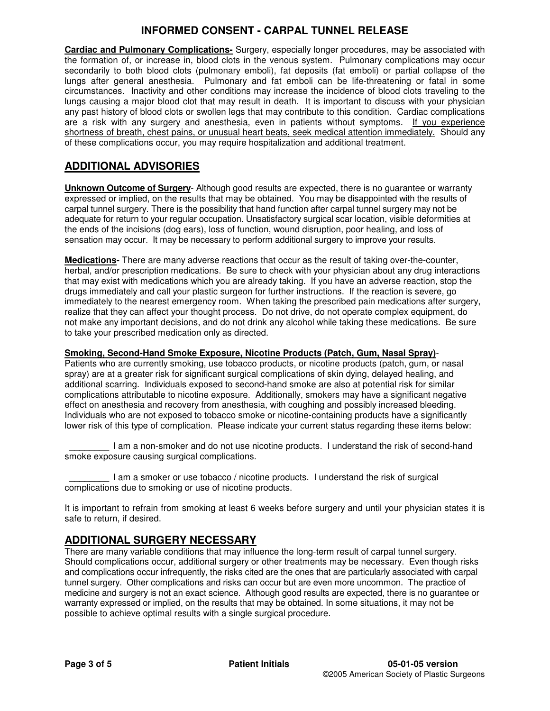**Cardiac and Pulmonary Complications-** Surgery, especially longer procedures, may be associated with the formation of, or increase in, blood clots in the venous system. Pulmonary complications may occur secondarily to both blood clots (pulmonary emboli), fat deposits (fat emboli) or partial collapse of the lungs after general anesthesia. Pulmonary and fat emboli can be life-threatening or fatal in some circumstances. Inactivity and other conditions may increase the incidence of blood clots traveling to the lungs causing a major blood clot that may result in death. It is important to discuss with your physician any past history of blood clots or swollen legs that may contribute to this condition. Cardiac complications are a risk with any surgery and anesthesia, even in patients without symptoms. If you experience shortness of breath, chest pains, or unusual heart beats, seek medical attention immediately. Should any of these complications occur, you may require hospitalization and additional treatment.

# **ADDITIONAL ADVISORIES**

**Unknown Outcome of Surgery**- Although good results are expected, there is no guarantee or warranty expressed or implied, on the results that may be obtained. You may be disappointed with the results of carpal tunnel surgery. There is the possibility that hand function after carpal tunnel surgery may not be adequate for return to your regular occupation. Unsatisfactory surgical scar location, visible deformities at the ends of the incisions (dog ears), loss of function, wound disruption, poor healing, and loss of sensation may occur. It may be necessary to perform additional surgery to improve your results.

**Medications-** There are many adverse reactions that occur as the result of taking over-the-counter, herbal, and/or prescription medications. Be sure to check with your physician about any drug interactions that may exist with medications which you are already taking. If you have an adverse reaction, stop the drugs immediately and call your plastic surgeon for further instructions. If the reaction is severe, go immediately to the nearest emergency room. When taking the prescribed pain medications after surgery, realize that they can affect your thought process. Do not drive, do not operate complex equipment, do not make any important decisions, and do not drink any alcohol while taking these medications. Be sure to take your prescribed medication only as directed.

#### **Smoking, Second-Hand Smoke Exposure, Nicotine Products (Patch, Gum, Nasal Spray)**-

Patients who are currently smoking, use tobacco products, or nicotine products (patch, gum, or nasal spray) are at a greater risk for significant surgical complications of skin dying, delayed healing, and additional scarring. Individuals exposed to second-hand smoke are also at potential risk for similar complications attributable to nicotine exposure. Additionally, smokers may have a significant negative effect on anesthesia and recovery from anesthesia, with coughing and possibly increased bleeding. Individuals who are not exposed to tobacco smoke or nicotine-containing products have a significantly lower risk of this type of complication. Please indicate your current status regarding these items below:

**\_\_\_\_\_\_\_\_** I am a non-smoker and do not use nicotine products. I understand the risk of second-hand smoke exposure causing surgical complications.

**\_\_\_\_\_\_\_\_** I am a smoker or use tobacco / nicotine products. I understand the risk of surgical complications due to smoking or use of nicotine products.

It is important to refrain from smoking at least 6 weeks before surgery and until your physician states it is safe to return, if desired.

# **ADDITIONAL SURGERY NECESSARY**

There are many variable conditions that may influence the long-term result of carpal tunnel surgery. Should complications occur, additional surgery or other treatments may be necessary. Even though risks and complications occur infrequently, the risks cited are the ones that are particularly associated with carpal tunnel surgery. Other complications and risks can occur but are even more uncommon. The practice of medicine and surgery is not an exact science. Although good results are expected, there is no guarantee or warranty expressed or implied, on the results that may be obtained. In some situations, it may not be possible to achieve optimal results with a single surgical procedure.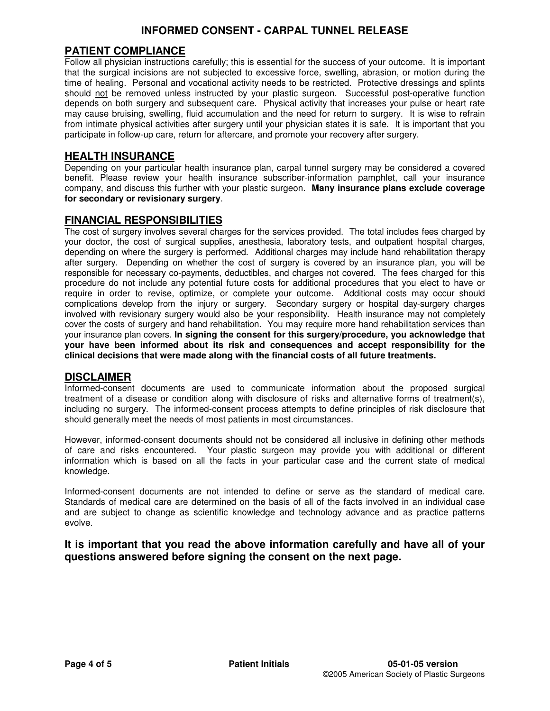## **PATIENT COMPLIANCE**

Follow all physician instructions carefully; this is essential for the success of your outcome. It is important that the surgical incisions are not subjected to excessive force, swelling, abrasion, or motion during the time of healing. Personal and vocational activity needs to be restricted. Protective dressings and splints should not be removed unless instructed by your plastic surgeon. Successful post-operative function depends on both surgery and subsequent care. Physical activity that increases your pulse or heart rate may cause bruising, swelling, fluid accumulation and the need for return to surgery. It is wise to refrain from intimate physical activities after surgery until your physician states it is safe. It is important that you participate in follow-up care, return for aftercare, and promote your recovery after surgery.

#### **HEALTH INSURANCE**

Depending on your particular health insurance plan, carpal tunnel surgery may be considered a covered benefit. Please review your health insurance subscriber-information pamphlet, call your insurance company, and discuss this further with your plastic surgeon. **Many insurance plans exclude coverage for secondary or revisionary surgery**.

#### **FINANCIAL RESPONSIBILITIES**

The cost of surgery involves several charges for the services provided. The total includes fees charged by your doctor, the cost of surgical supplies, anesthesia, laboratory tests, and outpatient hospital charges, depending on where the surgery is performed. Additional charges may include hand rehabilitation therapy after surgery. Depending on whether the cost of surgery is covered by an insurance plan, you will be responsible for necessary co-payments, deductibles, and charges not covered. The fees charged for this procedure do not include any potential future costs for additional procedures that you elect to have or require in order to revise, optimize, or complete your outcome. Additional costs may occur should complications develop from the injury or surgery. Secondary surgery or hospital day-surgery charges involved with revisionary surgery would also be your responsibility. Health insurance may not completely cover the costs of surgery and hand rehabilitation. You may require more hand rehabilitation services than your insurance plan covers. **In signing the consent for this surgery/procedure, you acknowledge that your have been informed about its risk and consequences and accept responsibility for the clinical decisions that were made along with the financial costs of all future treatments.**

#### **DISCLAIMER**

Informed-consent documents are used to communicate information about the proposed surgical treatment of a disease or condition along with disclosure of risks and alternative forms of treatment(s), including no surgery. The informed-consent process attempts to define principles of risk disclosure that should generally meet the needs of most patients in most circumstances.

However, informed-consent documents should not be considered all inclusive in defining other methods of care and risks encountered. Your plastic surgeon may provide you with additional or different information which is based on all the facts in your particular case and the current state of medical knowledge.

Informed-consent documents are not intended to define or serve as the standard of medical care. Standards of medical care are determined on the basis of all of the facts involved in an individual case and are subject to change as scientific knowledge and technology advance and as practice patterns evolve.

**It is important that you read the above information carefully and have all of your questions answered before signing the consent on the next page.**